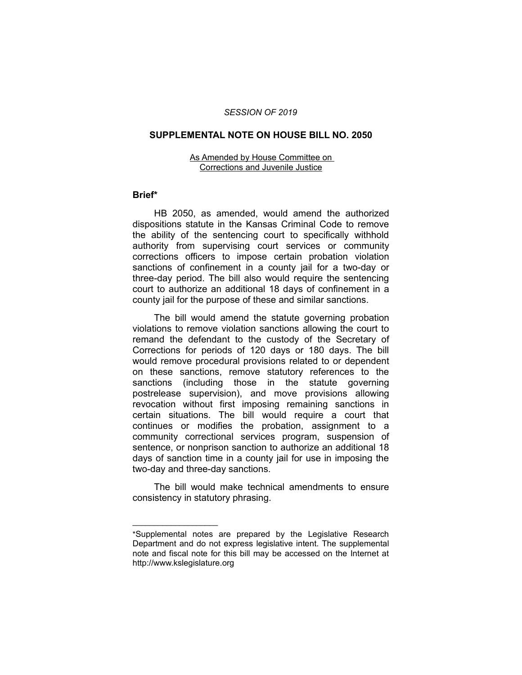## *SESSION OF 2019*

### **SUPPLEMENTAL NOTE ON HOUSE BILL NO. 2050**

#### As Amended by House Committee on Corrections and Juvenile Justice

# **Brief\***

HB 2050, as amended, would amend the authorized dispositions statute in the Kansas Criminal Code to remove the ability of the sentencing court to specifically withhold authority from supervising court services or community corrections officers to impose certain probation violation sanctions of confinement in a county jail for a two-day or three-day period. The bill also would require the sentencing court to authorize an additional 18 days of confinement in a county jail for the purpose of these and similar sanctions.

The bill would amend the statute governing probation violations to remove violation sanctions allowing the court to remand the defendant to the custody of the Secretary of Corrections for periods of 120 days or 180 days. The bill would remove procedural provisions related to or dependent on these sanctions, remove statutory references to the sanctions (including those in the statute governing postrelease supervision), and move provisions allowing revocation without first imposing remaining sanctions in certain situations. The bill would require a court that continues or modifies the probation, assignment to a community correctional services program, suspension of sentence, or nonprison sanction to authorize an additional 18 days of sanction time in a county jail for use in imposing the two-day and three-day sanctions.

The bill would make technical amendments to ensure consistency in statutory phrasing.

 $\overline{\phantom{a}}$  , where  $\overline{\phantom{a}}$  , where  $\overline{\phantom{a}}$ 

<sup>\*</sup>Supplemental notes are prepared by the Legislative Research Department and do not express legislative intent. The supplemental note and fiscal note for this bill may be accessed on the Internet at http://www.kslegislature.org